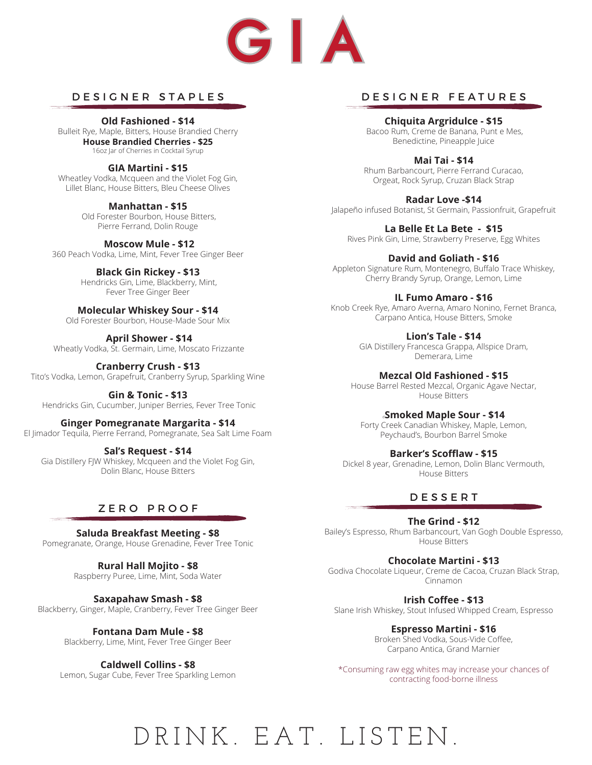

#### DESIGNER STAPLES

**Old Fashioned - \$14** Bulleit Rye, Maple, Bitters, House Brandied Cherry **House Brandied Cherries - \$25** 16oz Jar of Cherries in Cocktail Syrup

**GIA Martini - \$15** Wheatley Vodka, Mcqueen and the Violet Fog Gin, Lillet Blanc, House Bitters, Bleu Cheese Olives

> **Manhattan - \$15** Old Forester Bourbon, House Bitters, Pierre Ferrand, Dolin Rouge

 **Moscow Mule - \$12**  360 Peach Vodka, Lime, Mint, Fever Tree Ginger Beer

> **Black Gin Rickey - \$13** Hendricks Gin, Lime, Blackberry, Mint, Fever Tree Ginger Beer

**Molecular Whiskey Sour - \$14**  Old Forester Bourbon, House-Made Sour Mix

 **April Shower - \$14** Wheatly Vodka, St. Germain, Lime, Moscato Frizzante

**Cranberry Crush - \$13**  Tito's Vodka, Lemon, Grapefruit, Cranberry Syrup, Sparkling Wine

**Gin & Tonic - \$13** Hendricks Gin, Cucumber, Juniper Berries, Fever Tree Tonic

**Ginger Pomegranate Margarita - \$14**  El Jimador Tequila, Pierre Ferrand, Pomegranate, Sea Salt Lime Foam

**Sal's Request - \$14**  Gia Distillery FJW Whiskey, Mcqueen and the Violet Fog Gin, Dolin Blanc, House Bitters

## ZERO PROOF

**Saluda Breakfast Meeting - \$8** Pomegranate, Orange, House Grenadine, Fever Tree Tonic

> **Rural Hall Mojito - \$8** Raspberry Puree, Lime, Mint, Soda Water

**Saxapahaw Smash - \$8** Blackberry, Ginger, Maple, Cranberry, Fever Tree Ginger Beer

> **Fontana Dam Mule - \$8** Blackberry, Lime, Mint, Fever Tree Ginger Beer

**Caldwell Collins - \$8** Lemon, Sugar Cube, Fever Tree Sparkling Lemon

#### DESIGNER FEATURES

**Chiquita Argridulce - \$15** Bacoo Rum, Creme de Banana, Punt e Mes, Benedictine, Pineapple Juice

**Mai Tai - \$14** Rhum Barbancourt, Pierre Ferrand Curacao, Orgeat, Rock Syrup, Cruzan Black Strap

**Radar Love -\$14** Jalapeño infused Botanist, St Germain, Passionfruit, Grapefruit

**La Belle Et La Bete - \$15**  Rives Pink Gin, Lime, Strawberry Preserve, Egg Whites

**David and Goliath - \$16** Appleton Signature Rum, Montenegro, Buffalo Trace Whiskey, Cherry Brandy Syrup, Orange, Lemon, Lime

**IL Fumo Amaro - \$16** Knob Creek Rye, Amaro Averna, Amaro Nonino, Fernet Branca, Carpano Antica, House Bitters, Smoke

> **Lion's Tale - \$14** GIA Distillery Francesca Grappa, Allspice Dram, Demerara, Lime

**Mezcal Old Fashioned - \$15** House Barrel Rested Mezcal, Organic Agave Nectar, House Bitters

<sup>d</sup>**Smoked Maple Sour - \$14** Forty Creek Canadian Whiskey, Maple, Lemon, Peychaud's, Bourbon Barrel Smoke

**Barker's Scofflaw - \$15** Dickel 8 year, Grenadine, Lemon, Dolin Blanc Vermouth, House Bitters

### DESSERT

**The Grind - \$12** Bailey's Espresso, Rhum Barbancourt, Van Gogh Double Espresso, House Bitters

**Chocolate Martini - \$13** Godiva Chocolate Liqueur, Creme de Cacoa, Cruzan Black Strap, Cinnamon

**Irish Coffee - \$13** Slane Irish Whiskey, Stout Infused Whipped Cream, Espresso

> **Espresso Martini - \$16** Broken Shed Vodka, Sous-Vide Coffee, Carpano Antica, Grand Marnier

\*Consuming raw egg whites may increase your chances of contracting food-borne illness

# DRINK. EAT. LISTEN.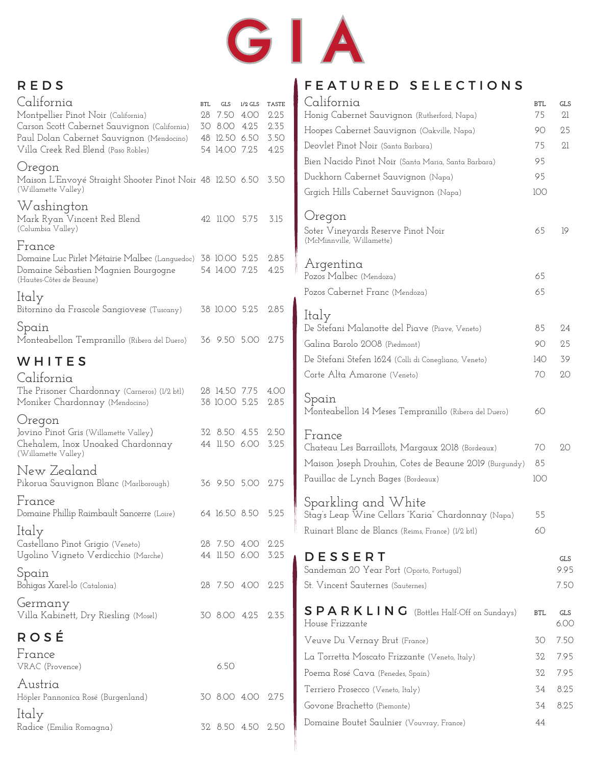

## REDS

| California                                                                                          | <b>BTL</b> | <b>GLS</b>                     | $1/2$ GLS | <b>TASTE</b> | Ca.              |
|-----------------------------------------------------------------------------------------------------|------------|--------------------------------|-----------|--------------|------------------|
| Montpellier Pinot Noir (California)                                                                 |            | 28 7.50 4.00                   |           | 2.25         | Hon              |
| Carson Scott Cabernet Sauvignon (California)                                                        |            | 30 8.00 4.25                   |           | 2.35         | Hoo <sup>-</sup> |
| Paul Dolan Cabernet Sauvignon (Mendocino)<br>Villa Creek Red Blend (Paso Robles)                    |            | 48 12.50 6.50<br>54 14.00 7.25 |           | 3.50<br>4.25 | Deor             |
|                                                                                                     |            |                                |           |              | Bien             |
| Oregon                                                                                              |            |                                |           |              | Ducl             |
| Maison L'Envoyé Straight Shooter Pinot Noir 48 12.50 6.50<br>(Willamette Valley)                    |            |                                |           | 3.50         | Grgi             |
| Washington                                                                                          |            |                                |           |              |                  |
| Mark Ryan Vincent Red Blend                                                                         |            | 42 11.00 5.75                  |           | 3.15         | Or               |
| (Columbia Valley)                                                                                   |            |                                |           |              | Sote:<br>(McN    |
| France                                                                                              |            |                                |           |              |                  |
| Domaine Luc Pirlet Métairie Malbec (Languedoc) 38 10.00 5.25<br>Domaine Sébastien Magnien Bourgogne |            | 54 14.00 7.25                  |           | 2.85<br>4.25 | Ar               |
| (Hautes-Côtes de Beaune)                                                                            |            |                                |           |              | Pozc             |
| ltaly                                                                                               |            |                                |           |              | Pozc             |
| Bitornino da Frascole Sangiovese (Tuscany)                                                          |            | 38 10.00 5.25                  |           | 2.85         | Ita.             |
| Spain                                                                                               |            |                                |           |              | De S             |
| Monteabellon Tempranillo (Ribera del Duero) 36 9.50 5.00                                            |            |                                |           | 2.75         | Gali:            |
| WHITES                                                                                              |            |                                |           |              | De S             |
|                                                                                                     |            |                                |           |              | Cort             |
| California<br>The Prisoner Chardonnay (Carneros) (1/2 btl)                                          |            | 28 14.50 7.75                  |           | 4.00         |                  |
| Moniker Chardonnay (Mendocino)                                                                      |            | 38 10.00 5.25                  |           | 2.85         | Spo              |
| Oregon                                                                                              |            |                                |           |              | Mor              |
| Jovino Pinot Gris (Willamette Valley)                                                               |            | 32 8.50 4.55                   |           | 2.50         | Frc              |
| Chehalem, Inox Unoaked Chardonnay                                                                   |            | 44 11.50 6.00                  |           | 3.25         | Cha              |
| (Willamette Valley)                                                                                 |            |                                |           |              | Mai              |
| New Zealand                                                                                         |            |                                |           |              | Paui             |
| Pikorua Sauvignon Blanc (Marlborough)                                                               |            | 36 9.50 5.00                   |           | 2.75         |                  |
| France                                                                                              |            |                                |           |              | Spo              |
| Domaine Phillip Raimbault Sancerre (Loire)                                                          |            | 64 16.50 8.50                  |           | 5.25         | Stag             |
| Italy                                                                                               |            |                                |           |              | Ruir             |
| Castellano Pinot Grigio (Veneto)<br>Ugolino Vigneto Verdicchio (Marche)                             |            | 28 7.50 4.00<br>44 11.50 6.00  |           | 2.25<br>3.25 | D I              |
|                                                                                                     |            |                                |           |              | Sano             |
| Spain<br>Bohigas Xarel-lo (Catalonia)                                                               |            | 28 7.50 4.00                   |           | 2.25         | St. V            |
|                                                                                                     |            |                                |           |              |                  |
| Germany<br>Villa Kabinett, Dry Riesling (Mosel)                                                     |            | 30 8.00 4.25                   |           | 2.35         | S F              |
|                                                                                                     |            |                                |           |              | Hou              |
| ROSÉ                                                                                                |            |                                |           |              | Veu              |
| France                                                                                              |            |                                |           |              | Lα 1             |
| VRAC (Provence)                                                                                     |            | 6.50                           |           |              | Poer             |
| Austria                                                                                             |            |                                |           |              | Terr             |
| Höpler Pannonica Rosé (Burgenland)                                                                  |            | 30 8.00 4.00                   |           | 2.75         | Govi             |
| ltaly                                                                                               |            |                                |           |              | Dom              |
| Radice (Emilia Romagna)                                                                             |            | 32 8.50 4.50                   |           | 2.50         |                  |

## FEATURED SELECTIONS

| California<br>Honig Cabernet Sauvignon (Rutherford, Napa)                                                                                                                       | <b>BTL</b><br>75      | <b>GLS</b><br>21           |
|---------------------------------------------------------------------------------------------------------------------------------------------------------------------------------|-----------------------|----------------------------|
| Hoopes Cabernet Sauvignon (Oakville, Napa)                                                                                                                                      | 90                    | 25                         |
| Deovlet Pinot Noir (Santa Barbara)                                                                                                                                              | 75                    | 21                         |
| Bien Nacido Pinot Noir (Santa Maria, Santa Barbara)                                                                                                                             | 95                    |                            |
| Duckhorn Cabernet Sauvignon (Napa)                                                                                                                                              | 95                    |                            |
| Grgich Hills Cabernet Sauvignon (Napa)                                                                                                                                          | 100                   |                            |
| Oregon<br>Soter Vineyards Reserve Pinot Noir<br>(McMinnville, Willamette)                                                                                                       | 65                    | 19                         |
| Argentina                                                                                                                                                                       |                       |                            |
| Pozos Malbec (Mendoza)                                                                                                                                                          | 65                    |                            |
| Pozos Cabernet Franc (Mendoza)                                                                                                                                                  | 65                    |                            |
| ltaly<br>De Stefani Malanotte del Piave (Piave, Veneto)<br>Galina Barolo 2008 (Piedmont)<br>De Stefani Stefen 1624 (Colli di Conegliano, Veneto)<br>Corte Alta Amarone (Veneto) | 85<br>90<br>140<br>70 | 24<br>25<br>39<br>20       |
| Spain<br>Monteabellon 14 Meses Tempranillo (Ribera del Duero)                                                                                                                   | 60                    |                            |
| France<br>Chateau Les Barraillots, Margaux 2018 (Bordeaux)<br>Maison Joseph Drouhin, Cotes de Beaune 2019 (Burgundy)<br>Pauillac de Lynch Bages (Bordeaux)                      | 70<br>85<br>100       | 20                         |
| Sparkling and White<br>Stag's Leap Wine Cellars "Karia" Chardonnay (Napa)<br>Ruinart Blanc de Blancs (Reims, France) (1/2 btl)                                                  | 55<br>60              |                            |
| DESSERT<br>Sandeman 20 Year Port (Oporto, Portugal)<br>St. Vincent Sauternes (Sauternes)                                                                                        |                       | <b>GLS</b><br>9.95<br>7.50 |
| SPARKLING<br>(Bottles Half-Off on Sundays)<br>House Frizzante                                                                                                                   | <b>BTL</b>            | GLS<br>6.00                |
| Veuve Du Vernay Brut (France)                                                                                                                                                   | 30                    | 7.50                       |
| La Torretta Moscato Frizzante (Veneto, Italy)                                                                                                                                   | 32.                   | 7.95                       |
| Poema Rosé Cava (Penedes, Spain)                                                                                                                                                | 32                    | 7.95                       |
| Terriero Prosecco (Veneto, Italy)                                                                                                                                               | 34                    | 8.25                       |
| Govone Brachetto (Piemonte)                                                                                                                                                     | 34                    | 8.25                       |
| Domaine Boutet Saulnier (Vouvray, France)                                                                                                                                       | 44                    |                            |
|                                                                                                                                                                                 |                       |                            |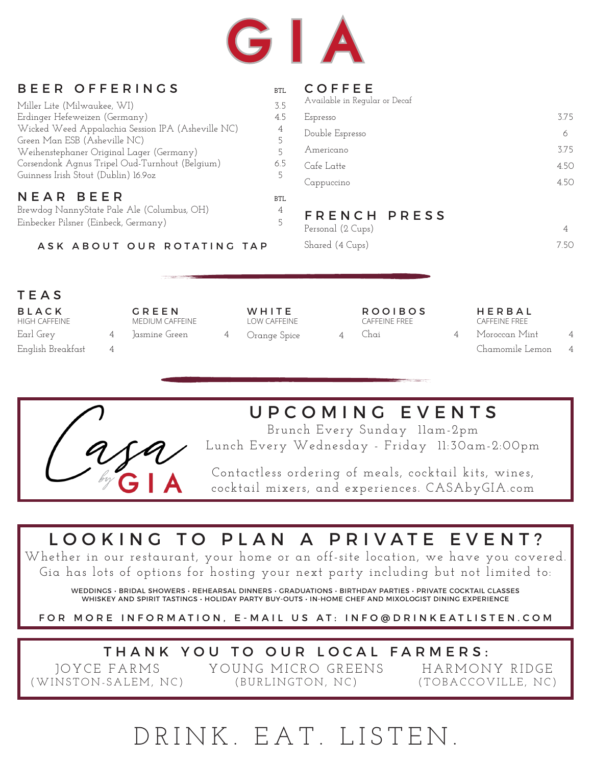

| BEER OFFERINGS                                    | BTL.       | <b>COFFEE</b>                 |      |
|---------------------------------------------------|------------|-------------------------------|------|
| Miller Lite (Milwaukee, WI)                       | 3.5        | Available in Regular or Decaf |      |
| Erdinger Hefeweizen (Germany)                     | 4.5        | Espresso                      | 3.75 |
| Wicked Weed Appalachia Session IPA (Asheville NC) | 4          | Double Espresso               | 6    |
| Green Man ESB (Asheville NC)                      |            | Americano                     | 3.75 |
| Weihenstephaner Original Lager (Germany)          |            |                               |      |
| Corsendonk Agnus Tripel Oud-Turnhout (Belgium)    | 6.5        | Cafe Latte                    | 4.50 |
| Guinness Irish Stout (Dublin) 16.9oz              | 5          | Cappuccino                    | 4.50 |
| NEAR BEER                                         | <b>BTL</b> |                               |      |
| Brewdog NannyState Pale Ale (Columbus, OH)        | 4          | FRENCH PRESS                  |      |
| Einbecker Pilsner (Einbeck, Germany)              |            | Personal (2 Cups)             | 4    |
| ASK ABOUT OUR ROTATING TAP                        |            | Shared (4 Cups)               | 7.50 |
|                                                   |            |                               |      |
|                                                   |            |                               |      |
|                                                   |            |                               |      |

### TEAS

| <b>BLACK</b><br>HIGH CAFFEINE  | GREEN<br>MEDIUM CAFFEINE | WHITE<br>LOW CAFFEINE | <b>ROOIBOS</b><br>CAFFEINE FREE | HERBAL<br>CAFFFINF FRFF          |                |
|--------------------------------|--------------------------|-----------------------|---------------------------------|----------------------------------|----------------|
| Earl Grey<br>English Breakfast | ]asmine Green            | Orange Spice          | Chai                            | Moroccan Mint<br>Chamomile Lemon | $\overline{4}$ |



# UPCOMING EVENTS

Brunch Every Sunday 11am-2pm Lunch Every Wednesday - Friday 11:30am-2:00pm

Contactless ordering of meals, cocktail kits, wines, cocktail mixers, and experiences. CASAbyGIA.com

# LOOKING TO PLAN A PRIVATE EVENT?

Whether in our restaurant, your home or an off-site location, we have you covered. Gia has lots of options for hosting your next party including but not limited to:

WEDDINGS • BRIDAL SHOWERS • REHEARSAL DINNERS • GRADUATIONS • BIRTHDAY PARTIES • PRIVATE COCKTAIL CLASSES WHISKEY AND SPIRIT TASTINGS • HOLIDAY PARTY BUY-OUTS • IN-HOME CHEF AND MIXOLOGIST DINING EXPERIENCE

FOR MORE INFORMATION, E-MAIL US AT: INFO@DRINKEATLISTEN.COM

# THANK YOU TO OUR LOCAL FARMERS:

 JOYCE FARMS (WINSTON-SALEM, NC) YOUNG MICRO GREENS (BURLINGTON, NC)

HARMONY RIDGE (TOBACCOVILLE, NC)

# DRINK. EAT. LISTEN.